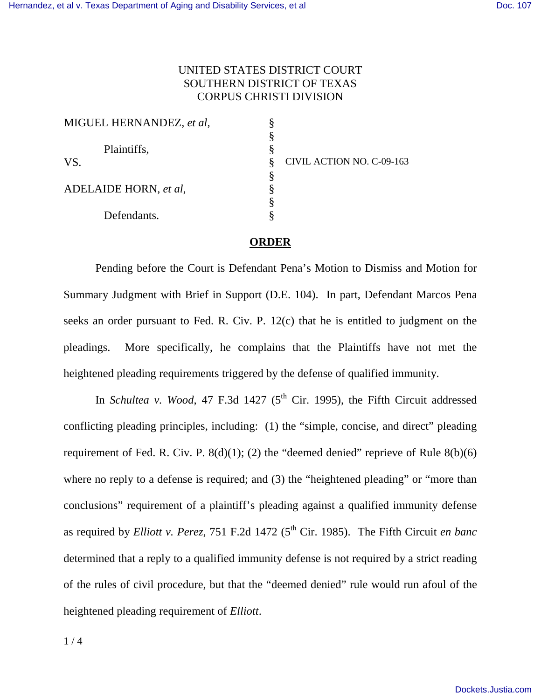## UNITED STATES DISTRICT COURT SOUTHERN DISTRICT OF TEXAS CORPUS CHRISTI DIVISION

| MIGUEL HERNANDEZ, et al, |   |                           |
|--------------------------|---|---------------------------|
|                          |   |                           |
| Plaintiffs,              |   |                           |
| VS.                      | 8 | CIVIL ACTION NO. C-09-163 |
|                          |   |                           |
| ADELAIDE HORN, et al,    |   |                           |
|                          |   |                           |
| Defendants.              |   |                           |

## **ORDER**

 Pending before the Court is Defendant Pena's Motion to Dismiss and Motion for Summary Judgment with Brief in Support (D.E. 104). In part, Defendant Marcos Pena seeks an order pursuant to Fed. R. Civ. P. 12(c) that he is entitled to judgment on the pleadings. More specifically, he complains that the Plaintiffs have not met the heightened pleading requirements triggered by the defense of qualified immunity.

In *Schultea v. Wood*, 47 F.3d 1427 (5<sup>th</sup> Cir. 1995), the Fifth Circuit addressed conflicting pleading principles, including: (1) the "simple, concise, and direct" pleading requirement of Fed. R. Civ. P.  $8(d)(1)$ ; (2) the "deemed denied" reprieve of Rule  $8(b)(6)$ where no reply to a defense is required; and (3) the "heightened pleading" or "more than conclusions" requirement of a plaintiff's pleading against a qualified immunity defense as required by *Elliott v. Perez*, 751 F.2d 1472 (5<sup>th</sup> Cir. 1985). The Fifth Circuit *en banc* determined that a reply to a qualified immunity defense is not required by a strict reading of the rules of civil procedure, but that the "deemed denied" rule would run afoul of the heightened pleading requirement of *Elliott*.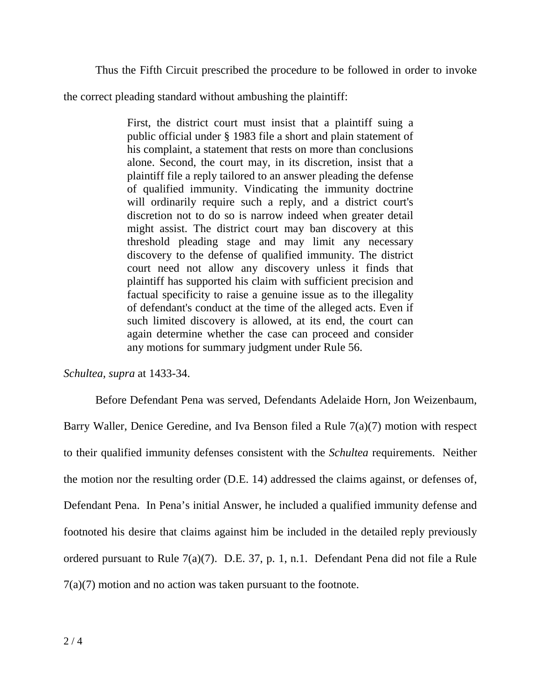Thus the Fifth Circuit prescribed the procedure to be followed in order to invoke

the correct pleading standard without ambushing the plaintiff:

First, the district court must insist that a plaintiff suing a public official under § 1983 file a short and plain statement of his complaint, a statement that rests on more than conclusions alone. Second, the court may, in its discretion, insist that a plaintiff file a reply tailored to an answer pleading the defense of qualified immunity. Vindicating the immunity doctrine will ordinarily require such a reply, and a district court's discretion not to do so is narrow indeed when greater detail might assist. The district court may ban discovery at this threshold pleading stage and may limit any necessary discovery to the defense of qualified immunity. The district court need not allow any discovery unless it finds that plaintiff has supported his claim with sufficient precision and factual specificity to raise a genuine issue as to the illegality of defendant's conduct at the time of the alleged acts. Even if such limited discovery is allowed, at its end, the court can again determine whether the case can proceed and consider any motions for summary judgment under Rule 56.

*Schultea, supra* at 1433-34.

Before Defendant Pena was served, Defendants Adelaide Horn, Jon Weizenbaum, Barry Waller, Denice Geredine, and Iva Benson filed a Rule 7(a)(7) motion with respect to their qualified immunity defenses consistent with the *Schultea* requirements. Neither the motion nor the resulting order (D.E. 14) addressed the claims against, or defenses of, Defendant Pena. In Pena's initial Answer, he included a qualified immunity defense and footnoted his desire that claims against him be included in the detailed reply previously ordered pursuant to Rule 7(a)(7). D.E. 37, p. 1, n.1. Defendant Pena did not file a Rule 7(a)(7) motion and no action was taken pursuant to the footnote.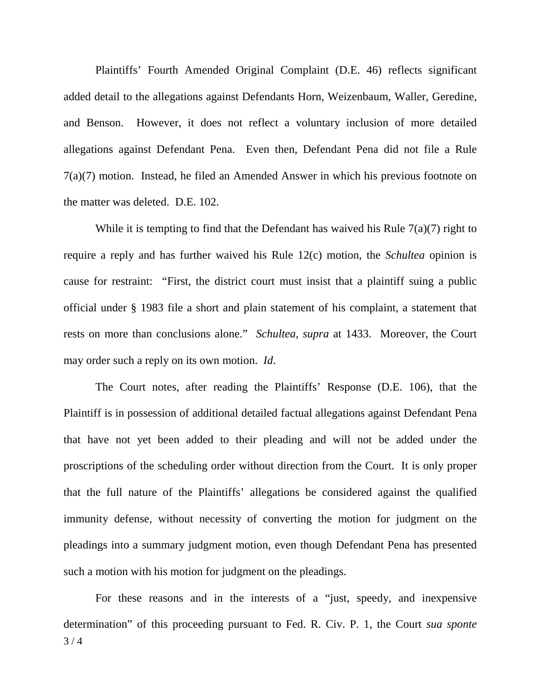Plaintiffs' Fourth Amended Original Complaint (D.E. 46) reflects significant added detail to the allegations against Defendants Horn, Weizenbaum, Waller, Geredine, and Benson. However, it does not reflect a voluntary inclusion of more detailed allegations against Defendant Pena. Even then, Defendant Pena did not file a Rule 7(a)(7) motion. Instead, he filed an Amended Answer in which his previous footnote on the matter was deleted. D.E. 102.

While it is tempting to find that the Defendant has waived his Rule 7(a)(7) right to require a reply and has further waived his Rule 12(c) motion, the *Schultea* opinion is cause for restraint: "First, the district court must insist that a plaintiff suing a public official under § 1983 file a short and plain statement of his complaint, a statement that rests on more than conclusions alone." *Schultea, supra* at 1433. Moreover, the Court may order such a reply on its own motion. *Id*.

The Court notes, after reading the Plaintiffs' Response (D.E. 106), that the Plaintiff is in possession of additional detailed factual allegations against Defendant Pena that have not yet been added to their pleading and will not be added under the proscriptions of the scheduling order without direction from the Court. It is only proper that the full nature of the Plaintiffs' allegations be considered against the qualified immunity defense, without necessity of converting the motion for judgment on the pleadings into a summary judgment motion, even though Defendant Pena has presented such a motion with his motion for judgment on the pleadings.

 $3/4$ For these reasons and in the interests of a "just, speedy, and inexpensive determination" of this proceeding pursuant to Fed. R. Civ. P. 1, the Court *sua sponte*